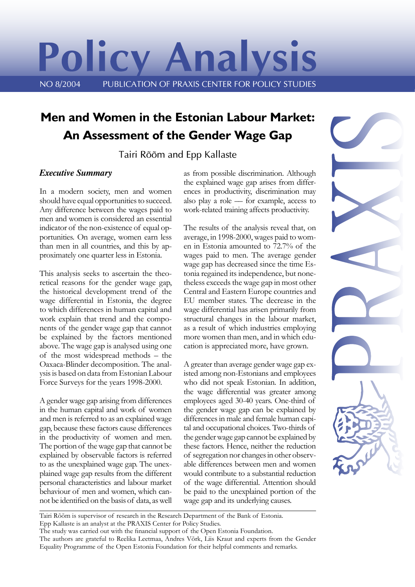# **Policy Analysis** NO 8/2004 PUBLICATION OF PRAXIS CENTER FOR POLICY STUDIES

## **Men and Women in the Estonian Labour Market: An Assessment of the Gender Wage Gap**

Tairi Rõõm and Epp Kallaste

#### *Executive Summary*

In a modern society, men and women should have equal opportunities to succeed. Any difference between the wages paid to men and women is considered an essential indicator of the non-existence of equal opportunities. On average, women earn less than men in all countries, and this by approximately one quarter less in Estonia.

This analysis seeks to ascertain the theoretical reasons for the gender wage gap, the historical development trend of the wage differential in Estonia, the degree to which differences in human capital and work explain that trend and the components of the gender wage gap that cannot be explained by the factors mentioned above. The wage gap is analysed using one of the most widespread methods – the Oaxaca-Blinder decomposition. The analysis is based on data from Estonian Labour Force Surveys for the years 1998-2000.

A gender wage gap arising from differences in the human capital and work of women and men is referred to as an explained wage gap, because these factors cause differences in the productivity of women and men. The portion of the wage gap that cannot be explained by observable factors is referred to as the unexplained wage gap. The unexplained wage gap results from the different personal characteristics and labour market behaviour of men and women, which cannot be identified on the basis of data, as well as from possible discrimination. Although the explained wage gap arises from differences in productivity, discrimination may also play a role –– for example, access to work-related training affects productivity.

The results of the analysis reveal that, on average, in 1998-2000, wages paid to women in Estonia amounted to 72.7% of the wages paid to men. The average gender wage gap has decreased since the time Estonia regained its independence, but nonetheless exceeds the wage gap in most other Central and Eastern Europe countries and EU member states. The decrease in the wage differential has arisen primarily from structural changes in the labour market, as a result of which industries employing more women than men, and in which education is appreciated more, have grown.

A greater than average gender wage gap existed among non-Estonians and employees who did not speak Estonian. In addition, the wage differential was greater among employees aged 30-40 years. One-third of the gender wage gap can be explained by differences in male and female human capital and occupational choices. Two-thirds of the gender wage gap cannot be explained by these factors. Hence, neither the reduction of segregation nor changes in other observable differences between men and women would contribute to a substantial reduction of the wage differential. Attention should be paid to the unexplained portion of the wage gap and its underlying causes.



Tairi Rõõm is supervisor of research in the Research Department of the Bank of Estonia. Epp Kallaste is an analyst at the PRAXIS Center for Policy Studies.

The authors are grateful to Reelika Leetmaa, Andres Võrk, Liis Kraut and experts from the Gender Equality Programme of the Open Estonia Foundation for their helpful comments and remarks.

The study was carried out with the financial support of the Open Estonia Foundation.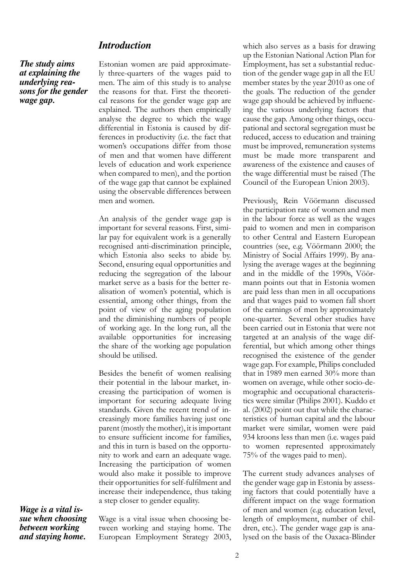*The study aims at explaining the underlying reasons for the gender wage gap.*

Estonian women are paid approximately three-quarters of the wages paid to men. The aim of this study is to analyse the reasons for that. First the theoretical reasons for the gender wage gap are explained. The authors then empirically analyse the degree to which the wage differential in Estonia is caused by differences in productivity (i.e. the fact that women's occupations differ from those of men and that women have different levels of education and work experience when compared to men), and the portion of the wage gap that cannot be explained using the observable differences between men and women.

An analysis of the gender wage gap is important for several reasons. First, similar pay for equivalent work is a generally recognised anti-discrimination principle, which Estonia also seeks to abide by. Second, ensuring equal opportunities and reducing the segregation of the labour market serve as a basis for the better realisation of women's potential, which is essential, among other things, from the point of view of the aging population and the diminishing numbers of people of working age. In the long run, all the available opportunities for increasing the share of the working age population should be utilised.

Besides the benefit of women realising their potential in the labour market, increasing the participation of women is important for securing adequate living standards. Given the recent trend of increasingly more families having just one parent (mostly the mother), it is important to ensure sufficient income for families, and this in turn is based on the opportunity to work and earn an adequate wage. Increasing the participation of women would also make it possible to improve their opportunities for self-fulfilment and increase their independence, thus taking a step closer to gender equality.

*Wage is a vital issue when choosing between working and staying home.*

Wage is a vital issue when choosing between working and staying home. The European Employment Strategy 2003,

which also serves as a basis for drawing up the Estonian National Action Plan for Employment, has set a substantial reduction of the gender wage gap in all the EU member states by the year 2010 as one of the goals. The reduction of the gender wage gap should be achieved by influencing the various underlying factors that cause the gap. Among other things, occupational and sectoral segregation must be reduced, access to education and training must be improved, remuneration systems must be made more transparent and awareness of the existence and causes of the wage differential must be raised (The Council of the European Union 2003).

Previously, Rein Vöörmann discussed the participation rate of women and men in the labour force as well as the wages paid to women and men in comparison to other Central and Eastern European countries (see, e.g. Vöörmann 2000; the Ministry of Social Affairs 1999). By analysing the average wages at the beginning and in the middle of the 1990s, Vöörmann points out that in Estonia women are paid less than men in all occupations and that wages paid to women fall short of the earnings of men by approximately one-quarter. Several other studies have been carried out in Estonia that were not targeted at an analysis of the wage differential, but which among other things recognised the existence of the gender wage gap. For example, Philips concluded that in 1989 men earned 30% more than women on average, while other socio-demographic and occupational characteristics were similar (Philips 2001). Kuddo et al. (2002) point out that while the characteristics of human capital and the labour market were similar, women were paid 934 kroons less than men (i.e. wages paid to women represented approximately 75% of the wages paid to men).

The current study advances analyses of the gender wage gap in Estonia by assessing factors that could potentially have a different impact on the wage formation of men and women (e.g. education level, length of employment, number of children, etc.). The gender wage gap is analysed on the basis of the Oaxaca-Blinder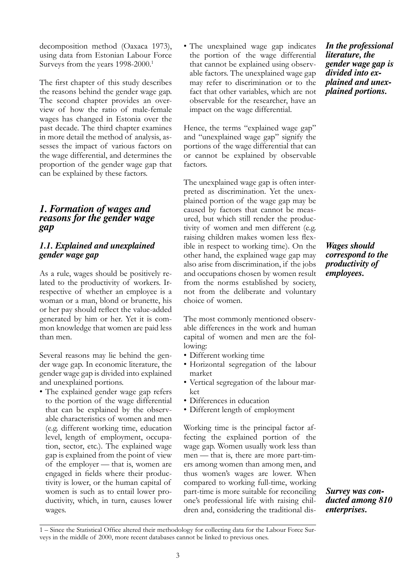decomposition method (Oaxaca 1973), using data from Estonian Labour Force Surveys from the years 1998-2000.<sup>1</sup>

The first chapter of this study describes the reasons behind the gender wage gap. The second chapter provides an overview of how the ratio of male-female wages has changed in Estonia over the past decade. The third chapter examines in more detail the method of analysis, assesses the impact of various factors on the wage differential, and determines the proportion of the gender wage gap that can be explained by these factors.

#### *1. Formation of wages and reasons for the gender wage gap*

#### *1.1. Explained and unexplained gender wage gap*

As a rule, wages should be positively related to the productivity of workers. Irrespective of whether an employee is a woman or a man, blond or brunette, his or her pay should reflect the value-added generated by him or her. Yet it is common knowledge that women are paid less than men.

Several reasons may lie behind the gender wage gap. In economic literature, the gender wage gap is divided into explained and unexplained portions.

• The explained gender wage gap refers to the portion of the wage differential that can be explained by the observable characteristics of women and men (e.g. different working time, education level, length of employment, occupation, sector, etc.). The explained wage gap is explained from the point of view of the employer –– that is, women are engaged in fields where their productivity is lower, or the human capital of women is such as to entail lower productivity, which, in turn, causes lower wages.

• The unexplained wage gap indicates the portion of the wage differential that cannot be explained using observable factors. The unexplained wage gap may refer to discrimination or to the fact that other variables, which are not observable for the researcher, have an impact on the wage differential.

Hence, the terms "explained wage gap" and "unexplained wage gap" signify the portions of the wage differential that can or cannot be explained by observable factors.

The unexplained wage gap is often interpreted as discrimination. Yet the unexplained portion of the wage gap may be caused by factors that cannot be measured, but which still render the productivity of women and men different (e.g. raising children makes women less flexible in respect to working time). On the other hand, the explained wage gap may also arise from discrimination, if the jobs and occupations chosen by women result from the norms established by society, not from the deliberate and voluntary choice of women.

The most commonly mentioned observable differences in the work and human capital of women and men are the following:

- Different working time
- Horizontal segregation of the labour market
- Vertical segregation of the labour market
- Differences in education
- Different length of employment

Working time is the principal factor affecting the explained portion of the wage gap. Women usually work less than men — that is, there are more part-timers among women than among men, and thus women's wages are lower. When compared to working full-time, working part-time is more suitable for reconciling one's professional life with raising children and, considering the traditional dis-

*In the professional literature, the gender wage gap is divided into explained and unexplained portions.*

*Wages should correspond to the productivity of employees.*

*Survey was conducted among 810 enterprises.*

<sup>1 –</sup> Since the Statistical Office altered their methodology for collecting data for the Labour Force Surveys in the middle of 2000, more recent databases cannot be linked to previous ones.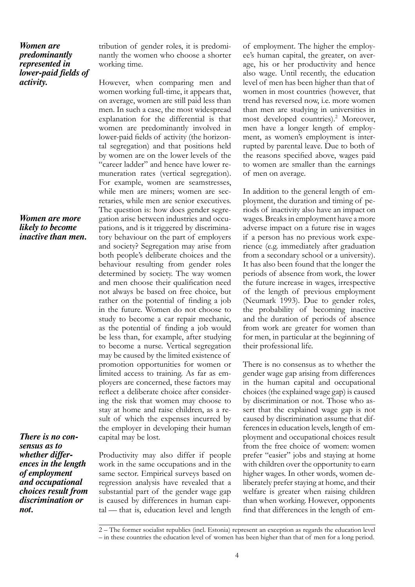#### *Women are predominantly represented in lower-paid fields of activity.*

#### *Women are more likely to become inactive than men.*

*There is no consensus as to whether differences in the length of employment and occupational choices result from discrimination or not.*

tribution of gender roles, it is predominantly the women who choose a shorter working time.

However, when comparing men and women working full-time, it appears that, on average, women are still paid less than men. In such a case, the most widespread explanation for the differential is that women are predominantly involved in lower-paid fields of activity (the horizontal segregation) and that positions held by women are on the lower levels of the "career ladder" and hence have lower remuneration rates (vertical segregation). For example, women are seamstresses, while men are miners; women are secretaries, while men are senior executives. The question is: how does gender segregation arise between industries and occupations, and is it triggered by discriminatory behaviour on the part of employers and society? Segregation may arise from both people's deliberate choices and the behaviour resulting from gender roles determined by society. The way women and men choose their qualification need not always be based on free choice, but rather on the potential of finding a job in the future. Women do not choose to study to become a car repair mechanic, as the potential of finding a job would be less than, for example, after studying to become a nurse. Vertical segregation may be caused by the limited existence of promotion opportunities for women or limited access to training. As far as employers are concerned, these factors may reflect a deliberate choice after considering the risk that women may choose to stay at home and raise children, as a result of which the expenses incurred by the employer in developing their human capital may be lost.

Productivity may also differ if people work in the same occupations and in the same sector. Empirical surveys based on regression analysis have revealed that a substantial part of the gender wage gap is caused by differences in human capital –– that is, education level and length

of employment. The higher the employee's human capital, the greater, on average, his or her productivity and hence also wage. Until recently, the education level of men has been higher than that of women in most countries (however, that trend has reversed now, i.e. more women than men are studying in universities in most developed countries).<sup>2</sup> Moreover, men have a longer length of employment, as women's employment is interrupted by parental leave. Due to both of the reasons specified above, wages paid to women are smaller than the earnings of men on average.

In addition to the general length of employment, the duration and timing of periods of inactivity also have an impact on wages. Breaks in employment have a more adverse impact on a future rise in wages if a person has no previous work experience (e.g. immediately after graduation from a secondary school or a university). It has also been found that the longer the periods of absence from work, the lower the future increase in wages, irrespective of the length of previous employment (Neumark 1993). Due to gender roles, the probability of becoming inactive and the duration of periods of absence from work are greater for women than for men, in particular at the beginning of their professional life.

There is no consensus as to whether the gender wage gap arising from differences in the human capital and occupational choices (the explained wage gap) is caused by discrimination or not. Those who assert that the explained wage gap is not caused by discrimination assume that differences in education levels, length of employment and occupational choices result from the free choice of women: women prefer "easier" jobs and staying at home with children over the opportunity to earn higher wages. In other words, women deliberately prefer staying at home, and their welfare is greater when raising children than when working. However, opponents find that differences in the length of em-

<sup>2 –</sup> The former socialist republics (incl. Estonia) represent an exception as regards the education level – in these countries the education level of women has been higher than that of men for a long period.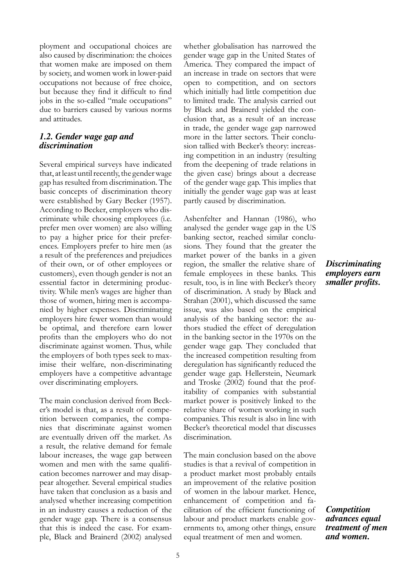ployment and occupational choices are also caused by discrimination: the choices that women make are imposed on them by society, and women work in lower-paid occupations not because of free choice, but because they find it difficult to find jobs in the so-called "male occupations" due to barriers caused by various norms and attitudes.

#### *1.2. Gender wage gap and discrimination*

Several empirical surveys have indicated that, at least until recently, the gender wage gap has resulted from discrimination. The basic concepts of discrimination theory were established by Gary Becker (1957). According to Becker, employers who discriminate while choosing employees (i.e. prefer men over women) are also willing to pay a higher price for their preferences. Employers prefer to hire men (as a result of the preferences and prejudices of their own, or of other employees or customers), even though gender is not an essential factor in determining productivity. While men's wages are higher than those of women, hiring men is accompanied by higher expenses. Discriminating employers hire fewer women than would be optimal, and therefore earn lower profits than the employers who do not discriminate against women. Thus, while the employers of both types seek to maximise their welfare, non-discriminating employers have a competitive advantage over discriminating employers.

The main conclusion derived from Becker's model is that, as a result of competition between companies, the companies that discriminate against women are eventually driven off the market. As a result, the relative demand for female labour increases, the wage gap between women and men with the same qualification becomes narrower and may disappear altogether. Several empirical studies have taken that conclusion as a basis and analysed whether increasing competition in an industry causes a reduction of the gender wage gap. There is a consensus that this is indeed the case. For example, Black and Brainerd (2002) analysed whether globalisation has narrowed the gender wage gap in the United States of America. They compared the impact of an increase in trade on sectors that were open to competition, and on sectors which initially had little competition due to limited trade. The analysis carried out by Black and Brainerd yielded the conclusion that, as a result of an increase in trade, the gender wage gap narrowed more in the latter sectors. Their conclusion tallied with Becker's theory: increasing competition in an industry (resulting from the deepening of trade relations in the given case) brings about a decrease of the gender wage gap. This implies that initially the gender wage gap was at least partly caused by discrimination.

Ashenfelter and Hannan (1986), who analysed the gender wage gap in the US banking sector, reached similar conclusions. They found that the greater the market power of the banks in a given region, the smaller the relative share of female employees in these banks. This result, too, is in line with Becker's theory of discrimination. A study by Black and Strahan (2001), which discussed the same issue, was also based on the empirical analysis of the banking sector: the authors studied the effect of deregulation in the banking sector in the 1970s on the gender wage gap. They concluded that the increased competition resulting from deregulation has significantly reduced the gender wage gap. Hellerstein, Neumark and Troske (2002) found that the profitability of companies with substantial market power is positively linked to the relative share of women working in such companies. This result is also in line with Becker's theoretical model that discusses discrimination.

The main conclusion based on the above studies is that a revival of competition in a product market most probably entails an improvement of the relative position of women in the labour market. Hence, enhancement of competition and facilitation of the efficient functioning of labour and product markets enable governments to, among other things, ensure equal treatment of men and women.

#### *Discriminating employers earn smaller profits.*

*Competition advances equal treatment of men and women.*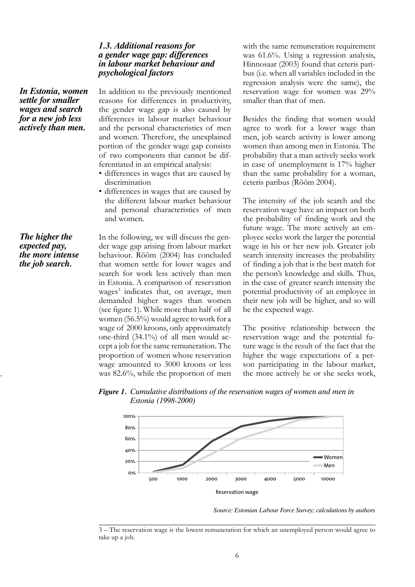#### *1.3. Additional reasons for a gender wage gap: differences in labour market behaviour and psychological factors*

*In Estonia, women settle for smaller wages and search for a new job less actively than men.*

*The higher the expected pay, the more intense the job search.*

In addition to the previously mentioned reasons for differences in productivity, the gender wage gap is also caused by differences in labour market behaviour and the personal characteristics of men and women. Therefore, the unexplained portion of the gender wage gap consists of two components that cannot be differentiated in an empirical analysis:

- differences in wages that are caused by discrimination
- differences in wages that are caused by the different labour market behaviour and personal characteristics of men and women.

In the following, we will discuss the gender wage gap arising from labour market behaviour. Rõõm (2004) has concluded that women settle for lower wages and search for work less actively than men in Estonia. A comparison of reservation wages<sup>3</sup> indicates that, on average, men demanded higher wages than women (see figure 1). While more than half of all women (56.5%) would agree to work for a wage of 2000 kroons, only approximately one-third (34.1%) of all men would accept a job for the same remuneration. The proportion of women whose reservation wage amounted to 3000 kroons or less was 82.6%, while the proportion of men

with the same remuneration requirement was 61.6%. Using a regression analysis, Hinnosaar (2003) found that ceteris paribus (i.e. when all variables included in the regression analysis were the same), the reservation wage for women was 29% smaller than that of men.

Besides the finding that women would agree to work for a lower wage than men, job search activity is lower among women than among men in Estonia. The probability that a man actively seeks work in case of unemployment is 17% higher than the same probability for a woman, ceteris paribus (Rõõm 2004).

The intensity of the job search and the reservation wage have an impact on both the probability of finding work and the future wage. The more actively an employee seeks work the larger the potential wage in his or her new job. Greater job search intensity increases the probability of finding a job that is the best match for the person's knowledge and skills. Thus, in the case of greater search intensity the potential productivity of an employee in their new job will be higher, and so will be the expected wage.

The positive relationship between the reservation wage and the potential future wage is the result of the fact that the higher the wage expectations of a person participating in the labour market, the more actively he or she seeks work,





*Source: Estonian Labour Force Survey; calculations by authors*

<sup>3 –</sup> The reservation wage is the lowest remuneration for which an unemployed person would agree to take up a job.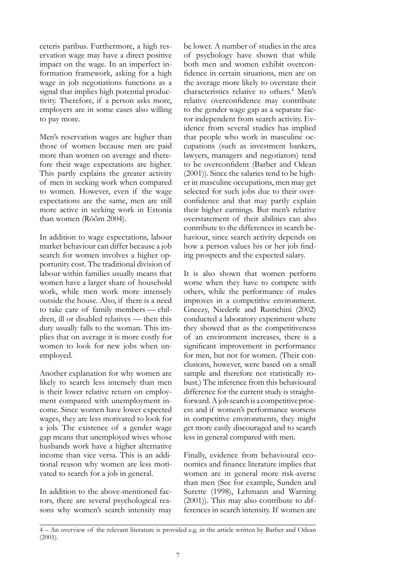ceteris paribus. Furthermore, a high reservation wage may have a direct positive impact on the wage. In an imperfect information framework, asking for a high wage in job negotiations functions as a signal that implies high potential productivity. Therefore, if a person asks more, employers are in some cases also willing to pay more.

Men's reservation wages are higher than those of women because men are paid more than women on average and therefore their wage expectations are higher. This partly explains the greater activity of men in seeking work when compared to women. However, even if the wage expectations are the same, men are still more active in seeking work in Estonia than women (Rõõm 2004).

In addition to wage expectations, labour market behaviour can differ because a job search for women involves a higher opportunity cost. The traditional division of labour within families usually means that women have a larger share of household work, while men work more intensely outside the house. Also, if there is a need to take care of family members –– children, ill or disabled relatives — then this duty usually falls to the woman. This implies that on average it is more costly for women to look for new jobs when unemployed.

Another explanation for why women are likely to search less intensely than men is their lower relative return on employment compared with unemployment income. Since women have lower expected wages, they are less motivated to look for a job. The existence of a gender wage gap means that unemployed wives whose husbands work have a higher alternative income than vice versa. This is an additional reason why women are less motivated to search for a job in general.

In addition to the above-mentioned factors, there are several psychological reasons why women's search intensity may

be lower. A number of studies in the area of psychology have shown that while both men and women exhibit overconfidence in certain situations, men are on the average more likely to overstate their characteristics relative to others.<sup>4</sup> Men's relative overconfidence may contribute to the gender wage gap as a separate factor independent from search activity. Evidence from several studies has implied that people who work in masculine occupations (such as investment bankers, lawyers, managers and negotiators) tend to be overconfident (Barber and Odean (2001)). Since the salaries tend to be higher in masculine occupations, men may get selected for such jobs due to their overconfidence and that may partly explain their higher earnings. But men's relative overstatement of their abilities can also contribute to the differences in search behaviour, since search activity depends on how a person values his or her job finding prospects and the expected salary.

It is also shown that women perform worse when they have to compete with others, while the performance of males improves in a competitive environment. Gneezy, Niederle and Rustichini (2002) conducted a laboratory experiment where they showed that as the competitiveness of an environment increases, there is a significant improvement in performance for men, but not for women. (Their conclusions, however, were based on a small sample and therefore not statistically robust.) The inference from this behavioural difference for the current study is straightforward. A job search is a competitive process and if women's performance worsens in competitive environments, they might get more easily discouraged and to search less in general compared with men.

Finally, evidence from behavioural economics and finance literature implies that women are in general more risk-averse than men (See for example, Sunden and Surette (1998), Lehmann and Warning (2001)). This may also contribute to differences in search intensity. If women are

<sup>4 –</sup> An overview of the relevant literature is provided e.g. in the article written by Barber and Odean (2001).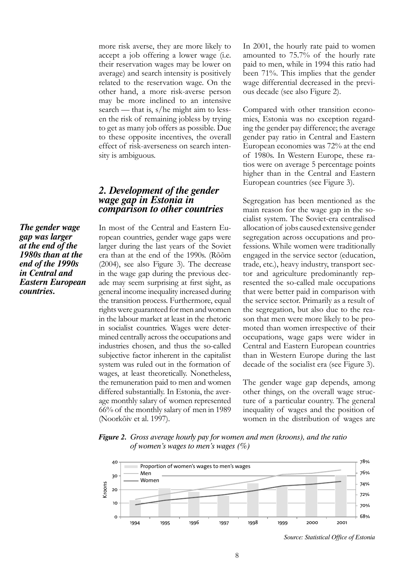more risk averse, they are more likely to accept a job offering a lower wage (i.e. their reservation wages may be lower on average) and search intensity is positively related to the reservation wage. On the other hand, a more risk-averse person may be more inclined to an intensive search — that is, s/he might aim to lessen the risk of remaining jobless by trying to get as many job offers as possible. Due to these opposite incentives, the overall effect of risk-averseness on search intensity is ambiguous.

#### *2. Development of the gender wage gap in Estonia in comparison to other countries*

In most of the Central and Eastern European countries, gender wage gaps were larger during the last years of the Soviet era than at the end of the 1990s. (Rõõm (2004), see also Figure 3). The decrease in the wage gap during the previous decade may seem surprising at first sight, as general income inequality increased during the transition process. Furthermore, equal rights were guaranteed for men and women in the labour market at least in the rhetoric in socialist countries. Wages were determined centrally across the occupations and industries chosen, and thus the so-called subjective factor inherent in the capitalist system was ruled out in the formation of wages, at least theoretically. Nonetheless, the remuneration paid to men and women differed substantially. In Estonia, the average monthly salary of women represented 66% of the monthly salary of men in 1989 (Noorkõiv et al. 1997).

In 2001, the hourly rate paid to women amounted to 75.7% of the hourly rate paid to men, while in 1994 this ratio had been 71%. This implies that the gender wage differential decreased in the previous decade (see also Figure 2).

Compared with other transition economies, Estonia was no exception regarding the gender pay difference; the average gender pay ratio in Central and Eastern European economies was 72% at the end of 1980s. In Western Europe, these ratios were on average 5 percentage points higher than in the Central and Eastern European countries (see Figure 3).

Segregation has been mentioned as the main reason for the wage gap in the socialist system. The Soviet-era centralised allocation of jobs caused extensive gender segregation across occupations and professions. While women were traditionally engaged in the service sector (education, trade, etc.), heavy industry, transport sector and agriculture predominantly represented the so-called male occupations that were better paid in comparison with the service sector. Primarily as a result of the segregation, but also due to the reason that men were more likely to be promoted than women irrespective of their occupations, wage gaps were wider in Central and Eastern European countries than in Western Europe during the last decade of the socialist era (see Figure 3).

The gender wage gap depends, among other things, on the overall wage structure of a particular country. The general inequality of wages and the position of women in the distribution of wages are

*Figure 2. Gross average hourly pay for women and men (kroons), and the ratio of women's wages to men's wages (%)*



*Source: Statistical Office of Estonia*

*The gender wage gap was larger at the end of the 1980s than at the end of the 1990s in Central and Eastern European countries.*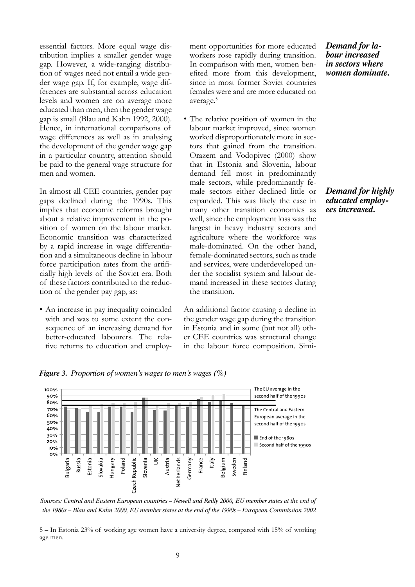essential factors. More equal wage distribution implies a smaller gender wage gap. However, a wide-ranging distribution of wages need not entail a wide gender wage gap. If, for example, wage differences are substantial across education levels and women are on average more educated than men, then the gender wage gap is small (Blau and Kahn 1992, 2000). Hence, in international comparisons of wage differences as well as in analysing the development of the gender wage gap in a particular country, attention should be paid to the general wage structure for men and women.

In almost all CEE countries, gender pay gaps declined during the 1990s. This implies that economic reforms brought about a relative improvement in the position of women on the labour market. Economic transition was characterized by a rapid increase in wage differentiation and a simultaneous decline in labour force participation rates from the artificially high levels of the Soviet era. Both of these factors contributed to the reduction of the gender pay gap, as:

• An increase in pay inequality coincided with and was to some extent the consequence of an increasing demand for better-educated labourers. The relative returns to education and employ-

*Figure 3. Proportion of women's wages to men's wages (%)*

ment opportunities for more educated workers rose rapidly during transition. In comparison with men, women benefited more from this development, since in most former Soviet countries females were and are more educated on average.5

• The relative position of women in the labour market improved, since women worked disproportionately more in sectors that gained from the transition. Orazem and Vodopivec (2000) show that in Estonia and Slovenia, labour demand fell most in predominantly male sectors, while predominantly female sectors either declined little or expanded. This was likely the case in many other transition economies as well, since the employment loss was the largest in heavy industry sectors and agriculture where the workforce was male-dominated. On the other hand, female-dominated sectors, such as trade and services, were underdeveloped under the socialist system and labour demand increased in these sectors during the transition.

An additional factor causing a decline in the gender wage gap during the transition in Estonia and in some (but not all) other CEE countries was structural change in the labour force composition. Simi*Demand for labour increased in sectors where women dominate.*

#### *Demand for highly educated employees increased.*



*Sources: Central and Eastern European countries – Newell and Reilly 2000, EU member states at the end of the 1980s – Blau and Kahn 2000, EU member states at the end of the 1990s – European Commission 2002*

<sup>5 –</sup> In Estonia 23% of working age women have a university degree, compared with 15% of working age men.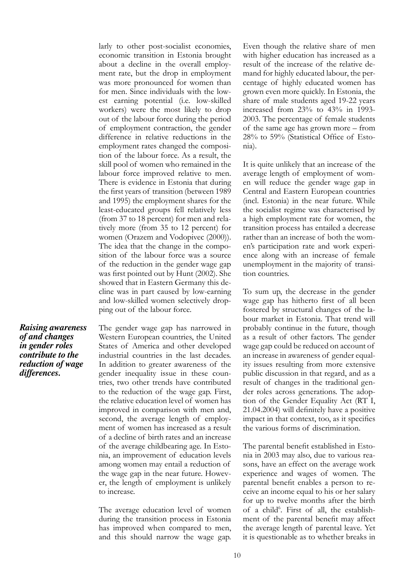larly to other post-socialist economies, economic transition in Estonia brought about a decline in the overall employment rate, but the drop in employment was more pronounced for women than for men. Since individuals with the lowest earning potential (i.e. low-skilled workers) were the most likely to drop out of the labour force during the period of employment contraction, the gender difference in relative reductions in the employment rates changed the composition of the labour force. As a result, the skill pool of women who remained in the labour force improved relative to men. There is evidence in Estonia that during the first years of transition (between 1989 and 1995) the employment shares for the least-educated groups fell relatively less (from 37 to 18 percent) for men and relatively more (from 35 to 12 percent) for women (Orazem and Vodopivec (2000)). The idea that the change in the composition of the labour force was a source of the reduction in the gender wage gap was first pointed out by Hunt (2002). She showed that in Eastern Germany this decline was in part caused by low-earning and low-skilled women selectively dropping out of the labour force.

*Raising awareness of and changes in gender roles contribute to the reduction of wage differences.*

The gender wage gap has narrowed in Western European countries, the United States of America and other developed industrial countries in the last decades. In addition to greater awareness of the gender inequality issue in these countries, two other trends have contributed to the reduction of the wage gap. First, the relative education level of women has improved in comparison with men and, second, the average length of employment of women has increased as a result of a decline of birth rates and an increase of the average childbearing age. In Estonia, an improvement of education levels among women may entail a reduction of the wage gap in the near future. However, the length of employment is unlikely to increase.

The average education level of women during the transition process in Estonia has improved when compared to men, and this should narrow the wage gap.

Even though the relative share of men with higher education has increased as a result of the increase of the relative demand for highly educated labour, the percentage of highly educated women has grown even more quickly. In Estonia, the share of male students aged 19-22 years increased from 23% to 43% in 1993- 2003. The percentage of female students of the same age has grown more – from 28% to 59% (Statistical Office of Estonia).

It is quite unlikely that an increase of the average length of employment of women will reduce the gender wage gap in Central and Eastern European countries (incl. Estonia) in the near future. While the socialist regime was characterised by a high employment rate for women, the transition process has entailed a decrease rather than an increase of both the women's participation rate and work experience along with an increase of female unemployment in the majority of transition countries.

To sum up, the decrease in the gender wage gap has hitherto first of all been fostered by structural changes of the labour market in Estonia. That trend will probably continue in the future, though as a result of other factors. The gender wage gap could be reduced on account of an increase in awareness of gender equality issues resulting from more extensive public discussion in that regard, and as a result of changes in the traditional gender roles across generations. The adoption of the Gender Equality Act (RT I, 21.04.2004) will definitely have a positive impact in that context, too, as it specifies the various forms of discrimination.

The parental benefit established in Estonia in 2003 may also, due to various reasons, have an effect on the average work experience and wages of women. The parental benefit enables a person to receive an income equal to his or her salary for up to twelve months after the birth of a child<sup>6</sup>. First of all, the establishment of the parental benefit may affect the average length of parental leave. Yet it is questionable as to whether breaks in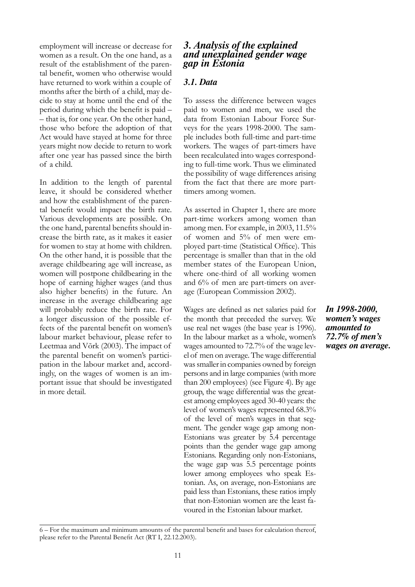employment will increase or decrease for women as a result. On the one hand, as a result of the establishment of the parental benefit, women who otherwise would have returned to work within a couple of months after the birth of a child, may decide to stay at home until the end of the period during which the benefit is paid – – that is, for one year. On the other hand, those who before the adoption of that Act would have stayed at home for three years might now decide to return to work after one year has passed since the birth of a child.

In addition to the length of parental leave, it should be considered whether and how the establishment of the parental benefit would impact the birth rate. Various developments are possible. On the one hand, parental benefits should increase the birth rate, as it makes it easier for women to stay at home with children. On the other hand, it is possible that the average childbearing age will increase, as women will postpone childbearing in the hope of earning higher wages (and thus also higher benefits) in the future. An increase in the average childbearing age will probably reduce the birth rate. For a longer discussion of the possible effects of the parental benefit on women's labour market behaviour, please refer to Leetmaa and Võrk (2003). The impact of the parental benefit on women's participation in the labour market and, accordingly, on the wages of women is an important issue that should be investigated in more detail.

#### *3. Analysis of the explained and unexplained gender wage gap in Estonia*

#### *3.1. Data*

To assess the difference between wages paid to women and men, we used the data from Estonian Labour Force Surveys for the years 1998-2000. The sample includes both full-time and part-time workers. The wages of part-timers have been recalculated into wages corresponding to full-time work. Thus we eliminated the possibility of wage differences arising from the fact that there are more parttimers among women.

As asserted in Chapter 1, there are more part-time workers among women than among men. For example, in 2003, 11.5% of women and 5% of men were employed part-time (Statistical Office). This percentage is smaller than that in the old member states of the European Union, where one-third of all working women and 6% of men are part-timers on average (European Commission 2002).

Wages are defined as net salaries paid for the month that preceded the survey. We use real net wages (the base year is 1996). In the labour market as a whole, women's wages amounted to 72.7% of the wage level of men on average. The wage differential was smaller in companies owned by foreign persons and in large companies (with more than 200 employees) (see Figure 4). By age group, the wage differential was the greatest among employees aged 30-40 years: the level of women's wages represented 68.3% of the level of men's wages in that segment. The gender wage gap among non-Estonians was greater by 5.4 percentage points than the gender wage gap among Estonians. Regarding only non-Estonians, the wage gap was 5.5 percentage points lower among employees who speak Estonian. As, on average, non-Estonians are paid less than Estonians, these ratios imply that non-Estonian women are the least favoured in the Estonian labour market.

*In 1998-2000, women's wages amounted to 72.7% of men's wages on average.*

<sup>6 –</sup> For the maximum and minimum amounts of the parental benefit and bases for calculation thereof, please refer to the Parental Benefit Act (RT I, 22.12.2003).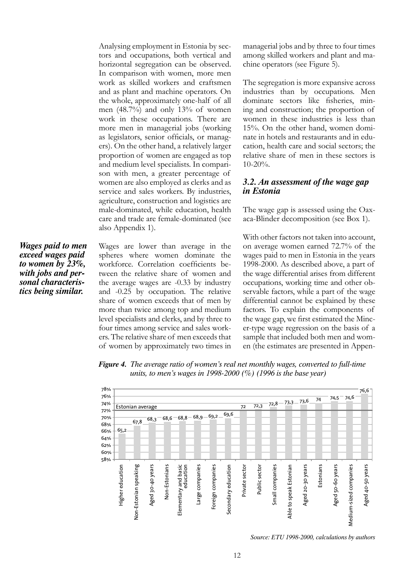Analysing employment in Estonia by sectors and occupations, both vertical and horizontal segregation can be observed. In comparison with women, more men work as skilled workers and craftsmen and as plant and machine operators. On the whole, approximately one-half of all men (48.7%) and only 13% of women work in these occupations. There are more men in managerial jobs (working as legislators, senior officials, or managers). On the other hand, a relatively larger proportion of women are engaged as top and medium level specialists. In comparison with men, a greater percentage of women are also employed as clerks and as service and sales workers. By industries, agriculture, construction and logistics are male-dominated, while education, health care and trade are female-dominated (see also Appendix 1).

*Wages paid to men exceed wages paid to women by 23%, with jobs and personal characteristics being similar.*

Wages are lower than average in the spheres where women dominate the workforce. Correlation coefficients between the relative share of women and the average wages are -0.33 by industry and -0.25 by occupation. The relative share of women exceeds that of men by more than twice among top and medium level specialists and clerks, and by three to four times among service and sales workers. The relative share of men exceeds that of women by approximately two times in

managerial jobs and by three to four times among skilled workers and plant and machine operators (see Figure 5).

The segregation is more expansive across industries than by occupations. Men dominate sectors like fisheries, mining and construction; the proportion of women in these industries is less than 15%. On the other hand, women dominate in hotels and restaurants and in education, health care and social sectors; the relative share of men in these sectors is 10-20%.

#### *3.2. An assessment of the wage gap in Estonia*

The wage gap is assessed using the Oaxaca-Blinder decomposition (see Box 1).

With other factors not taken into account, on average women earned 72.7% of the wages paid to men in Estonia in the years 1998-2000. As described above, a part of the wage differential arises from different occupations, working time and other observable factors, while a part of the wage differential cannot be explained by these factors. To explain the components of the wage gap, we first estimated the Mincer-type wage regression on the basis of a sample that included both men and women (the estimates are presented in Appen-





*Source: ETU 1998-2000, calculations by authors*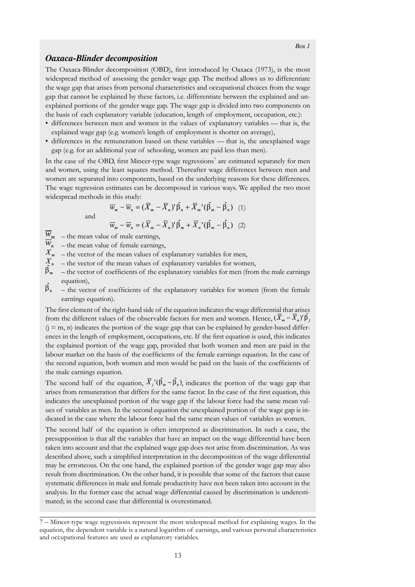#### *Oaxaca-Blinder decomposition*

The Oaxaca-Blinder decomposition (OBD), first introduced by Oaxaca (1973), is the most widespread method of assessing the gender wage gap. The method allows us to differentiate the wage gap that arises from personal characteristics and occupational choices from the wage gap that cannot be explained by these factors, i.e. differentiate between the explained and unexplained portions of the gender wage gap. The wage gap is divided into two components on the basis of each explanatory variable (education, length of employment, occupation, etc.):

- differences between men and women in the values of explanatory variables –– that is, the explained wage gap (e.g. women's length of employment is shorter on average),
- differences in the remuneration based on these variables –– that is, the unexplained wage gap (e.g. for an additional year of schooling, women are paid less than men).

In the case of the OBD, first Mincer-type wage regressions<sup>7</sup> are estimated separately for men and women, using the least squares method. Thereafter wage differences between men and women are separated into components, based on the underlying reasons for these differences. The wage regression estimates can be decomposed in various ways. We applied the two most widespread methods in this study:

and

$$
\overline{w}_m - \overline{w}_n = (\overline{X}_m - \overline{X}_n) \hat{\beta}_n + \overline{X}_m' (\hat{\beta}_m - \hat{\beta}_n) \quad (1)
$$

$$
\overline{w}_m - \overline{w}_n = (\overline{X}_m - \overline{X}_n) \hat{\beta}_m + \overline{X}_n' (\hat{\beta}_m - \hat{\beta}_n) \quad (2)
$$

$$
W_m - W_n = (X_m - X_n)^{\prime} \beta_m + X_n^{\prime} (\beta_m - \beta_n)
$$

- $W_m$  the mean value of male earnings,
- $\overline{W}_n$  the mean value of female earnings,
- $X_{m}$  the vector of the mean values of explanatory variables for men,
- $\frac{1}{x}$  the vector of the mean values of explanatory variables for women,
- $\beta_m$  the vector of coefficients of the explanatory variables for men (from the male earnings equation),
- $\hat{\beta}_n$  the vector of coefficients of the explanatory variables for women (from the female earnings equation).

The first element of the right-hand side of the equation indicates the wage differential that arises from the different values of the observable factors for men and women. Hence,  $(X_m - X_n)^{\prime} \beta_i$  $(j = m, n)$  indicates the portion of the wage gap that can be explained by gender-based differences in the length of employment, occupations, etc. If the first equation is used, this indicates the explained portion of the wage gap, provided that both women and men are paid in the labour market on the basis of the coefficients of the female earnings equation. In the case of the second equation, both women and men would be paid on the basis of the coefficients of the male earnings equation.

The second half of the equation,  $\overline{X}_i'(\hat{\beta}_m - \hat{\beta}_n)$ , indicates the portion of the wage gap that arises from remuneration that differs for the same factor. In the case of the first equation, this indicates the unexplained portion of the wage gap if the labour force had the same mean values of variables as men. In the second equation the unexplained portion of the wage gap is indicated in the case where the labour force had the same mean values of variables as women.

The second half of the equation is often interpreted as discrimination. In such a case, the presupposition is that all the variables that have an impact on the wage differential have been taken into account and that the explained wage gap does not arise from discrimination. As was described above, such a simplified interpretation in the decomposition of the wage differential may be erroneous. On the one hand, the explained portion of the gender wage gap may also result from discrimination. On the other hand, it is possible that some of the factors that cause systematic differences in male and female productivity have not been taken into account in the analysis. In the former case the actual wage differential caused by discrimination is underestimated; in the second case that differential is overestimated.

13

<sup>7 –</sup> Mincer-type wage regressions represent the most widespread method for explaining wages. In the equation, the dependent variable is a natural logarithm of earnings, and various personal characteristics and occupational features are used as explanatory variables.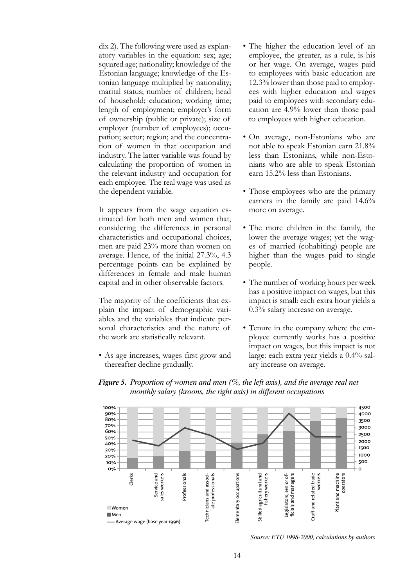dix 2). The following were used as explanatory variables in the equation: sex; age; squared age; nationality; knowledge of the Estonian language; knowledge of the Estonian language multiplied by nationality; marital status; number of children; head of household; education; working time; length of employment; employer's form of ownership (public or private); size of employer (number of employees); occupation; sector; region; and the concentration of women in that occupation and industry. The latter variable was found by calculating the proportion of women in the relevant industry and occupation for each employee. The real wage was used as the dependent variable.

It appears from the wage equation estimated for both men and women that, considering the differences in personal characteristics and occupational choices, men are paid 23% more than women on average. Hence, of the initial 27.3%, 4.3 percentage points can be explained by differences in female and male human capital and in other observable factors.

The majority of the coefficients that explain the impact of demographic variables and the variables that indicate personal characteristics and the nature of the work are statistically relevant.

• As age increases, wages first grow and thereafter decline gradually.

- The higher the education level of an employee, the greater, as a rule, is his or her wage. On average, wages paid to employees with basic education are 12.3% lower than those paid to employees with higher education and wages paid to employees with secondary education are 4.9% lower than those paid to employees with higher education.
- On average, non-Estonians who are not able to speak Estonian earn 21.8% less than Estonians, while non-Estonians who are able to speak Estonian earn 15.2% less than Estonians.
- Those employees who are the primary earners in the family are paid 14.6% more on average.
- The more children in the family, the lower the average wages; yet the wages of married (cohabiting) people are higher than the wages paid to single people.
- The number of working hours per week has a positive impact on wages, but this impact is small: each extra hour yields a 0.3% salary increase on average.
- Tenure in the company where the employee currently works has a positive impact on wages, but this impact is not large: each extra year yields a 0.4% salary increase on average.



*Figure 5. Proportion of women and men (%, the left axis), and the average real net monthly salary (kroons, the right axis) in different occupations*

*Source: ETU 1998-2000, calculations by authors*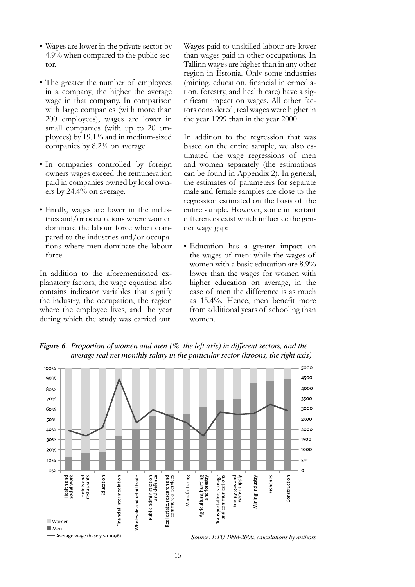- Wages are lower in the private sector by 4.9% when compared to the public sector.
- The greater the number of employees in a company, the higher the average wage in that company. In comparison with large companies (with more than 200 employees), wages are lower in small companies (with up to 20 employees) by 19.1% and in medium-sized companies by 8.2% on average.
- In companies controlled by foreign owners wages exceed the remuneration paid in companies owned by local owners by 24.4% on average.
- Finally, wages are lower in the industries and/or occupations where women dominate the labour force when compared to the industries and/or occupations where men dominate the labour force.

In addition to the aforementioned explanatory factors, the wage equation also contains indicator variables that signify the industry, the occupation, the region where the employee lives, and the year during which the study was carried out.

Wages paid to unskilled labour are lower than wages paid in other occupations. In Tallinn wages are higher than in any other region in Estonia. Only some industries (mining, education, financial intermediation, forestry, and health care) have a significant impact on wages. All other factors considered, real wages were higher in the year 1999 than in the year 2000.

In addition to the regression that was based on the entire sample, we also estimated the wage regressions of men and women separately (the estimations can be found in Appendix 2). In general, the estimates of parameters for separate male and female samples are close to the regression estimated on the basis of the entire sample. However, some important differences exist which influence the gender wage gap:

• Education has a greater impact on the wages of men: while the wages of women with a basic education are 8.9% lower than the wages for women with higher education on average, in the case of men the difference is as much as 15.4%. Hence, men benefit more from additional years of schooling than women.



*Figure 6. Proportion of women and men (%, the left axis) in different sectors, and the average real net monthly salary in the particular sector (kroons, the right axis)*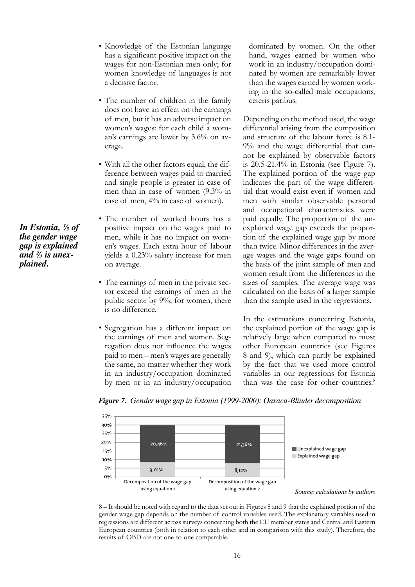- Knowledge of the Estonian language has a significant positive impact on the wages for non-Estonian men only; for women knowledge of languages is not a decisive factor.
- The number of children in the family does not have an effect on the earnings of men, but it has an adverse impact on women's wages: for each child a woman's earnings are lower by 3.6% on average.
- With all the other factors equal, the difference between wages paid to married and single people is greater in case of men than in case of women (9.3% in case of men, 4% in case of women).
- The number of worked hours has a positive impact on the wages paid to men, while it has no impact on women's wages. Each extra hour of labour yields a 0.23% salary increase for men on average.
- The earnings of men in the private sector exceed the earnings of men in the public sector by 9%; for women, there is no difference.
- Segregation has a different impact on the earnings of men and women. Segregation does not influence the wages paid to men – men's wages are generally the same, no matter whether they work in an industry/occupation dominated by men or in an industry/occupation

dominated by women. On the other hand, wages earned by women who work in an industry/occupation dominated by women are remarkably lower than the wages earned by women working in the so-called male occupations, ceteris paribus.

Depending on the method used, the wage differential arising from the composition and structure of the labour force is 8.1- 9% and the wage differential that cannot be explained by observable factors is 20.5-21.4% in Estonia (see Figure 7). The explained portion of the wage gap indicates the part of the wage differential that would exist even if women and men with similar observable personal and occupational characteristics were paid equally. The proportion of the unexplained wage gap exceeds the proportion of the explained wage gap by more than twice. Minor differences in the average wages and the wage gaps found on the basis of the joint sample of men and women result from the differences in the sizes of samples. The average wage was calculated on the basis of a larger sample than the sample used in the regressions.

In the estimations concerning Estonia, the explained portion of the wage gap is relatively large when compared to most other European countries (see Figures 8 and 9), which can partly be explained by the fact that we used more control variables in our regressions for Estonia than was the case for other countries.<sup>8</sup>



*Figure 7. Gender wage gap in Estonia (1999-2000): Oaxaca-Blinder decomposition*

8 – It should be noted with regard to the data set out in Figures 8 and 9 that the explained portion of the gender wage gap depends on the number of control variables used. The explanatory variables used in regressions are different across surveys concerning both the EU member states and Central and Eastern European countries (both in relation to each other and in comparison with this study). Therefore, the results of OBD are not one-to-one comparable.

*In Estonia, ⅓ of the gender wage gap is explained and ⅔ is unexplained.*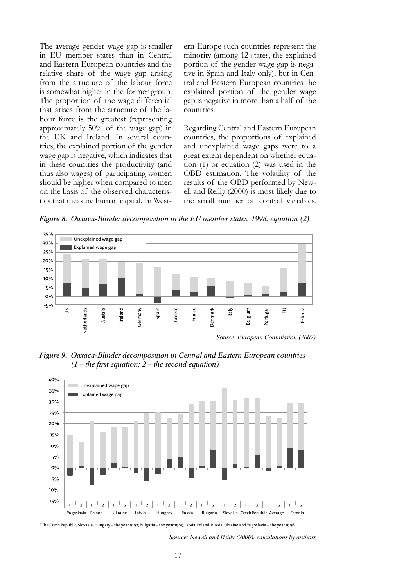The average gender wage gap is smaller in EU member states than in Central and Eastern European countries and the relative share of the wage gap arising from the structure of the labour force is somewhat higher in the former group. The proportion of the wage differential that arises from the structure of the labour force is the greatest (representing approximately 50% of the wage gap) in the UK and Ireland. In several countries, the explained portion of the gender wage gap is negative, which indicates that in these countries the productivity (and thus also wages) of participating women should be higher when compared to men on the basis of the observed characteristics that measure human capital. In Western Europe such countries represent the minority (among 12 states, the explained portion of the gender wage gap is negative in Spain and Italy only), but in Central and Eastern European countries the explained portion of the gender wage gap is negative in more than a half of the countries.

Regarding Central and Eastern European countries, the proportions of explained and unexplained wage gaps were to a great extent dependent on whether equation (1) or equation (2) was used in the OBD estimation. The volatility of the results of the OBD performed by Newell and Reilly (2000) is most likely due to the small number of control variables.

*Figure 8. Oaxaca-Blinder decomposition in the EU member states, 1998, equation (2)*



*Figure 9. Oaxaca-Blinder decomposition in Central and Eastern European countries (1 – the first equation; 2 – the second equation)*



\* The Czech Republic, Slovakia, Hungary – the year 1992; Bulgaria – the year 1995; Latvia, Poland, Russia, Ukraine and Yugoslavia – the year 1996.

*Source: Newell and Reilly (2000), calculations by authors*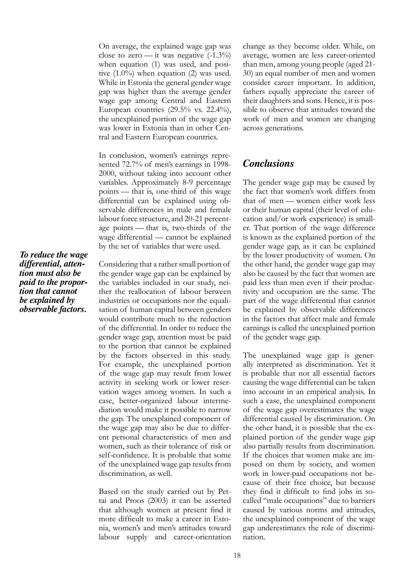On average, the explained wage gap was close to zero — it was negative  $(-1.3\%)$ when equation (1) was used, and positive  $(1.0\%)$  when equation  $(2)$  was used. While in Estonia the general gender wage gap was higher than the average gender wage gap among Central and Eastern European countries  $(29.5\% \text{ vs. } 22.4\%),$ the unexplained portion of the wage gap was lower in Estonia than in other Central and Eastern European countries.

In conclusion, women's earnings represented 72.7% of men's earnings in 1998- 2000, without taking into account other variables. Approximately 8-9 percentage points –– that is, one-third of this wage differential can be explained using observable differences in male and female labour force structure, and 20-21 percentage points –– that is, two-thirds of the wage differential — cannot be explained by the set of variables that were used.

Considering that a rather small portion of the gender wage gap can be explained by the variables included in our study, neither the reallocation of labour between industries or occupations nor the equalisation of human capital between genders would contribute much to the reduction of the differential. In order to reduce the gender wage gap, attention must be paid to the portion that cannot be explained by the factors observed in this study. For example, the unexplained portion of the wage gap may result from lower activity in seeking work or lower reservation wages among women. In such a case, better-organized labour intermediation would make it possible to narrow the gap. The unexplained component of the wage gap may also be due to different personal characteristics of men and women, such as their tolerance of risk or self-confidence. It is probable that some of the unexplained wage gap results from discrimination, as well.

Based on the study carried out by Pettai and Proos (2003) it can be asserted that although women at present find it more difficult to make a career in Estonia, women's and men's attitudes toward labour supply and career-orientation

change as they become older. While, on average, women are less career-oriented than men, among young people (aged 21- 30) an equal number of men and women consider career important. In addition, fathers equally appreciate the career of their daughters and sons. Hence, it is possible to observe that attitudes toward the work of men and women are changing across generations.

### *Conclusions*

The gender wage gap may be caused by the fact that women's work differs from that of men –– women either work less or their human capital (their level of education and/or work experience) is smaller. That portion of the wage difference is known as the explained portion of the gender wage gap, as it can be explained by the lower productivity of women. On the other hand, the gender wage gap may also be caused by the fact that women are paid less than men even if their productivity and occupation are the same. The part of the wage differential that cannot be explained by observable differences in the factors that affect male and female earnings is called the unexplained portion of the gender wage gap.

The unexplained wage gap is generally interpreted as discrimination. Yet it is probable that not all essential factors causing the wage differential can be taken into account in an empirical analysis. In such a case, the unexplained component of the wage gap overestimates the wage differential caused by discrimination. On the other hand, it is possible that the explained portion of the gender wage gap also partially results from discrimination. If the choices that women make are imposed on them by society, and women work in lower-paid occupations not because of their free choice, but because they find it difficult to find jobs in socalled "male occupations" due to barriers caused by various norms and attitudes, the unexplained component of the wage gap underestimates the role of discrimination.

*To reduce the wage differential, attention must also be paid to the proportion that cannot be explained by observable factors.*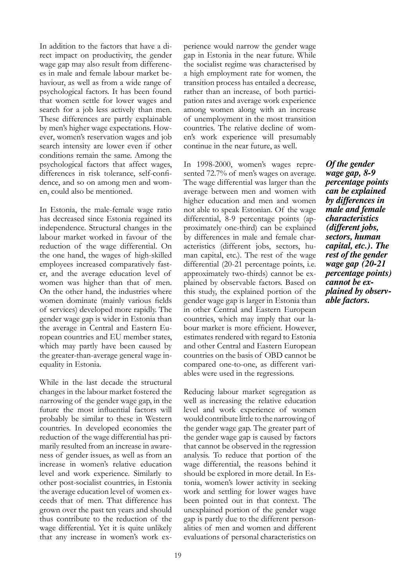In addition to the factors that have a direct impact on productivity, the gender wage gap may also result from differences in male and female labour market behaviour, as well as from a wide range of psychological factors. It has been found that women settle for lower wages and search for a job less actively than men. These differences are partly explainable by men's higher wage expectations. However, women's reservation wages and job search intensity are lower even if other conditions remain the same. Among the psychological factors that affect wages, differences in risk tolerance, self-confidence, and so on among men and women, could also be mentioned.

In Estonia, the male-female wage ratio has decreased since Estonia regained its independence. Structural changes in the labour market worked in favour of the reduction of the wage differential. On the one hand, the wages of high-skilled employees increased comparatively faster, and the average education level of women was higher than that of men. On the other hand, the industries where women dominate (mainly various fields of services) developed more rapidly. The gender wage gap is wider in Estonia than the average in Central and Eastern European countries and EU member states, which may partly have been caused by the greater-than-average general wage inequality in Estonia.

While in the last decade the structural changes in the labour market fostered the narrowing of the gender wage gap, in the future the most influential factors will probably be similar to these in Western countries. In developed economies the reduction of the wage differential has primarily resulted from an increase in awareness of gender issues, as well as from an increase in women's relative education level and work experience. Similarly to other post-socialist countries, in Estonia the average education level of women exceeds that of men. That difference has grown over the past ten years and should thus contribute to the reduction of the wage differential. Yet it is quite unlikely that any increase in women's work ex-

perience would narrow the gender wage gap in Estonia in the near future. While the socialist regime was characterised by a high employment rate for women, the transition process has entailed a decrease, rather than an increase, of both participation rates and average work experience among women along with an increase of unemployment in the most transition countries. The relative decline of women's work experience will presumably continue in the near future, as well.

In 1998-2000, women's wages represented 72.7% of men's wages on average. The wage differential was larger than the average between men and women with higher education and men and women not able to speak Estonian. Of the wage differential, 8-9 percentage points (approximately one-third) can be explained by differences in male and female characteristics (different jobs, sectors, human capital, etc.). The rest of the wage differential (20-21 percentage points, i.e. approximately two-thirds) cannot be explained by observable factors. Based on this study, the explained portion of the gender wage gap is larger in Estonia than in other Central and Eastern European countries, which may imply that our labour market is more efficient. However, estimates rendered with regard to Estonia and other Central and Eastern European countries on the basis of OBD cannot be compared one-to-one, as different variables were used in the regressions.

Reducing labour market segregation as well as increasing the relative education level and work experience of women would contribute little to the narrowing of the gender wage gap. The greater part of the gender wage gap is caused by factors that cannot be observed in the regression analysis. To reduce that portion of the wage differential, the reasons behind it should be explored in more detail. In Estonia, women's lower activity in seeking work and settling for lower wages have been pointed out in that context. The unexplained portion of the gender wage gap is partly due to the different personalities of men and women and different evaluations of personal characteristics on

*Of the gender wage gap, 8-9 percentage points can be explained by differences in male and female characteristics (different jobs, sectors, human capital, etc.). The rest of the gender wage gap (20-21 percentage points) cannot be explained by observable factors.*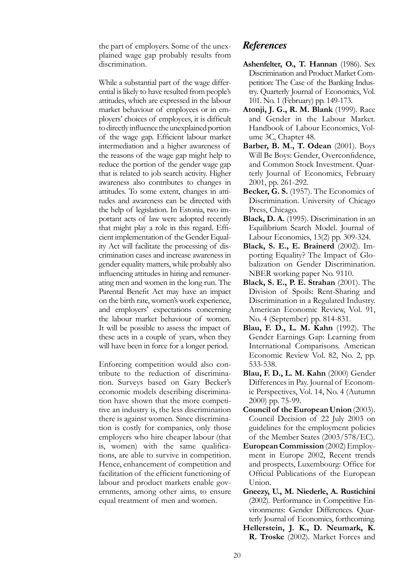the part of employers. Some of the unexplained wage gap probably results from discrimination.

While a substantial part of the wage differential is likely to have resulted from people's attitudes, which are expressed in the labour market behaviour of employees or in employers' choices of employees, it is difficult to directly influence the unexplained portion of the wage gap. Efficient labour market intermediation and a higher awareness of the reasons of the wage gap might help to reduce the portion of the gender wage gap that is related to job search activity. Higher awareness also contributes to changes in attitudes. To some extent, changes in attitudes and awareness can be directed with the help of legislation. In Estonia, two important acts of law were adopted recently that might play a role in this regard. Efficient implementation of the Gender Equality Act will facilitate the processing of discrimination cases and increase awareness in gender equality matters, while probably also influencing attitudes in hiring and remunerating men and women in the long run. The Parental Benefit Act may have an impact on the birth rate, women's work experience, and employers' expectations concerning the labour market behaviour of women. It will be possible to assess the impact of these acts in a couple of years, when they will have been in force for a longer period.

Enforcing competition would also contribute to the reduction of discrimination. Surveys based on Gary Becker's economic models describing discrimination have shown that the more competitive an industry is, the less discrimination there is against women. Since discrimination is costly for companies, only those employers who hire cheaper labour (that is, women) with the same qualifications, are able to survive in competition. Hence, enhancement of competition and facilitation of the efficient functioning of labour and product markets enable governments, among other aims, to ensure equal treatment of men and women.

#### *References*

- **Ashenfelter, O., T. Hannan** (1986). Sex Discrimination and Product Market Competition: The Case of the Banking Industry. Quarterly Journal of Economics, Vol. 101. No. 1 (February) pp. 149-173.
- **Atonji, J. G., R. M. Blank** (1999). Race and Gender in the Labour Market. Handbook of Labour Economics, Volume 3C, Chapter 48.
- **Barber, B. M., T. Odean** (2001). Boys Will Be Boys: Gender, Overconfidence, and Common Stock Investment. Quarterly Journal of Economics, February 2001, pp. 261-292.
- **Becker, G. S.** (1957). The Economics of Discrimination. University of Chicago Press, Chicago.
- **Black, D. A.** (1995). Discrimination in an Equilibrium Search Model. Journal of Labour Economics, 13(2) pp. 309-324.
- **Black, S. E., E. Brainerd** (2002). Importing Equality? The Impact of Globalization on Gender Discrimination. NBER working paper No. 9110.
- **Black, S. E., P. E. Strahan** (2001). The Division of Spoils: Rent-Sharing and Discrimination in a Regulated Industry. American Economic Review, Vol. 91, No. 4 (September) pp. 814-831.
- **Blau, F. D., L. M. Kahn** (1992). The Gender Earnings Gap: Learning from International Comparisons. American Economic Review Vol. 82, No. 2, pp. 533-538.
- **Blau, F. D., L. M. Kahn** (2000) Gender Differences in Pay. Journal of Economic Perspectives, Vol. 14, No. 4 (Autumn 2000) pp. 75-99.
- **Council of the European Union** (2003). Council Decision of 22 July 2003 on guidelines for the employment policies of the Member States (2003/578/EC).
- **European Commission** (2002) Employment in Europe 2002, Recent trends and prospects, Luxembourg: Office for Official Publications of the European Union.
- **Gneezy, U., M. Niederle, A. Rustichini** (2002). Performance in Competitive Environments: Gender Differences. Quarterly Journal of Economics, forthcoming.
- **Hellerstein, J. K., D. Neumark, K. R. Troske** (2002). Market Forces and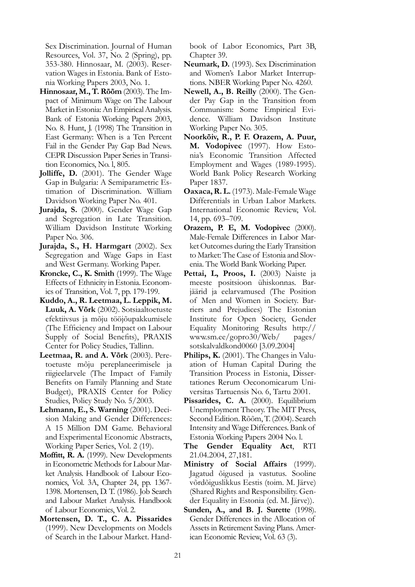Sex Discrimination. Journal of Human Resources, Vol. 37, No. 2 (Spring), pp. 353-380. Hinnosaar, M. (2003). Reservation Wages in Estonia. Bank of Estonia Working Papers 2003, No. 1.

- **Hinnosaar, M., T. Rõõm** (2003). The Impact of Minimum Wage on The Labour Market in Estonia: An Empirical Analysis. Bank of Estonia Working Papers 2003, No. 8. Hunt, J. (1998) The Transition in East Germany: When is a Ten Percent Fail in the Gender Pay Gap Bad News. CEPR Discussion Paper Series in Transition Economics, No. l, 805.
- **Jolliffe, D.** (2001). The Gender Wage Gap in Bulgaria: A Semiparametric Estimation of Discrimination. William Davidson Working Paper No. 401.
- **Jurajda, S.** (2000). Gender Wage Gap and Segregation in Late Transition. William Davidson Institute Working Paper No. 306.
- **Jurajda, S., H. Harmgart** (2002). Sex Segregation and Wage Gaps in East and West Germany. Working Paper.
- **Kroncke, C., K. Smith** (1999). The Wage Effects of Ethnicity in Estonia. Economics of Transition, Vol. 7, pp. 179-199.
- **Kuddo, A., R. Leetmaa, L. Leppik, M. Luuk, A. Võrk** (2002). Sotsiaaltoetuste efektiivsus ja mõju tööjõupakkumisele (The Efficiency and Impact on Labour Supply of Social Benefits), PRAXIS Center for Policy Studies, Tallinn.
- **Leetmaa, R. and A. Võrk** (2003). Peretoetuste mõju pereplaneerimisele ja riigieelarvele (The Impact of Family Benefits on Family Planning and State Budget), PRAXIS Center for Policy Studies, Policy Study No. 5/2003.
- **Lehmann, E., S. Warning** (2001). Decision Making and Gender Differences: A 15 Million DM Game. Behavioral and Experimental Economic Abstracts, Working Paper Series, Vol. 2 (19).
- **Moffitt, R. A.** (1999). New Developments in Econometric Methods for Labour Market Analysis. Handbook of Labour Economics, Vol. 3A, Chapter 24, pp. 1367- 1398. Mortensen, D. T. (1986). Job Search and Labour Market Analysis. Handbook of Labour Economics, Vol. 2.
- **Mortensen, D. T., C. A. Pissarides** (1999). New Developments on Models of Search in the Labour Market. Hand-

book of Labor Economics, Part 3B, Chapter 39.

- **Neumark, D.** (1993). Sex Discrimination and Women's Labor Market Interruptions. NBER Working Paper No. 4260.
- **Newell, A., B. Reilly** (2000). The Gender Pay Gap in the Transition from Communism: Some Empirical Evidence. William Davidson Institute Working Paper No. 305.
- **Noorkõiv, R., P. F. Orazem, A. Puur, M. Vodopivec** (1997). How Estonia's Economic Transition Affected Employment and Wages (1989-1995). World Bank Policy Research Working Paper 1837.
- **Oaxaca, R. L.** (1973). Male-Female Wage Differentials in Urban Labor Markets. International Economic Review, Vol. 14, pp. 693–709.
- **Orazem, P. E, M. Vodopivec** (2000). Male-Female Differences in Labor Market Outcomes during the Early Transition to Market: The Case of Estonia and Slovenia. The World Bank Working Paper.
- Pettai, L, Proos, I. (2003) Naiste ja meeste positsioon ühiskonnas. Barjäärid ja eelarvamused (The Position of Men and Women in Society. Barriers and Prejudices) The Estonian Institute for Open Society, Gender Equality Monitoring Results http:// www.sm.ee/gopro30/Web/ pages/ sotskalvaldkond0060 [3.09.2004]
- **Philips, K.** (2001). The Changes in Valuation of Human Capital During the Transition Process in Estonia, Dissertationes Rerum Oeconomicarum Universitas Tartuensis No. 6, Tartu 2001.
- Pissarides, C. A. (2000). Equilibrium Unemployment Theory. The MIT Press, Second Edition. Rõõm, T. (2004). Search Intensity and Wage Differences. Bank of Estonia Working Papers 2004 No. l.
- **The Gender Equality Act**, RTI 21.04.2004, 27,181.
- **Ministry of Social Affairs** (1999). Jagatud õigused ja vastutus. Sooline võrdõiguslikkus Eestis (toim. M. Järve) (Shared Rights and Responsibility. Gender Equality in Estonia (ed. M. Järve)).
- **Sunden, A., and B. J. Surette** (1998). Gender Differences in the Allocation of Assets in Retirement Saving Plans. American Economic Review, Vol. 63 (3).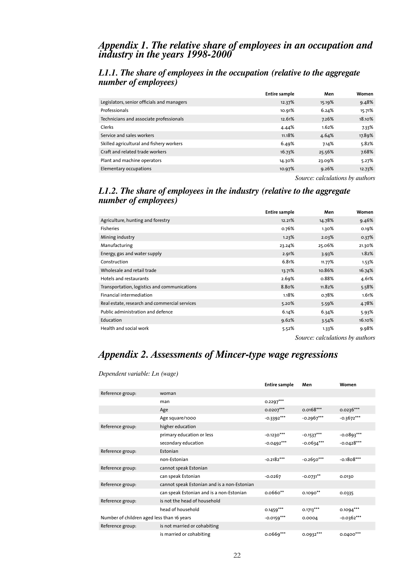#### *Appendix 1. The relative share of employees in an occupation and industry in the years 1998-2000*

#### *L1.1. The share of employees in the occupation (relative to the aggregate number of employees)*

|                                            | Entire sample | Men    | Women  |
|--------------------------------------------|---------------|--------|--------|
| Legislators, senior officials and managers | 12.37%        | 15.19% | 9.48%  |
| Professionals                              | 10.91%        | 6.24%  | 15.71% |
| Technicians and associate professionals    | 12.61%        | 7.26%  | 18.10% |
| Clerks                                     | 4.44%         | 1.62%  | 7.33%  |
| Service and sales workers                  | 11.18%        | 4.64%  | 17.89% |
| Skilled agricultural and fishery workers   | 6.49%         | 7.14%  | 5.82%  |
| Craft and related trade workers            | 16.73%        | 25.56% | 7.68%  |
| Plant and machine operators                | 14.30%        | 23.09% | 5.27%  |
| Elementary occupations                     | 10.97%        | 9.26%  | 12.73% |
|                                            |               |        |        |

*Source: calculations by authors*

#### *L1.2. The share of employees in the industry (relative to the aggregate number of employees)*

|                                               | Entire sample | Men      | Women  |
|-----------------------------------------------|---------------|----------|--------|
| Agriculture, hunting and forestry             | 12.21%        | 14.78%   | 9.46%  |
| <b>Fisheries</b>                              | 0.76%         | $1.30\%$ | 0.19%  |
| Mining industry                               | 1.23%         | $2.03\%$ | 0.37%  |
| Manufacturing                                 | 23.24%        | 25.06%   | 21.30% |
| Energy, gas and water supply                  | 2.91%         | 3.93%    | 1.82%  |
| Construction                                  | 6.81%         | 11.77%   | 1.53%  |
| Wholesale and retail trade                    | 13.71%        | 10.86%   | 16.74% |
| Hotels and restaurants                        | 2.69%         | 0.88%    | 4.61%  |
| Transportation, logistics and communications  | 8.80%         | 11.82%   | 5.58%  |
| Financial intermediation                      | 1.18%         | 0.78%    | 1.61%  |
| Real estate, research and commercial services | 5.20%         | 5.59%    | 4.78%  |
| Public administration and defence             | 6.14%         | 6.34%    | 5.93%  |
| Education                                     | 9.62%         | 3.54%    | 16.10% |
| Health and social work                        | 5.52%         | 1.33%    | 9.98%  |
|                                               |               |          |        |

*Source: calculations by authors*

**Entire sample Men Women**

## *Appendix 2. Assessments of Mincer-type wage regressions*

| Reference group:                           | woman                                       |              |              |              |
|--------------------------------------------|---------------------------------------------|--------------|--------------|--------------|
|                                            | man                                         | $0.2297***$  |              |              |
|                                            | Age                                         | $0.0207***$  | $0.0168***$  | $0.0236***$  |
|                                            | Age square/1000                             | $-0.3392***$ | $-0.2967***$ | $-0.3672***$ |
| Reference group:                           | higher education                            |              |              |              |
|                                            | primary education or less                   | $-0.1230***$ | $-0.1537***$ | $-0.0893***$ |
|                                            | secondary education                         | $-0.0492***$ | $-0.0634***$ | $-0.0428***$ |
| Reference group:                           | Estonian                                    |              |              |              |
|                                            | non-Estonian                                | $-0.2182***$ | $-0.2650***$ | $-0.1808***$ |
| Reference group:                           | cannot speak Estonian                       |              |              |              |
|                                            | can speak Estonian                          | $-0.0267$    | $-0.0731**$  | 0.0130       |
| Reference group:                           | cannot speak Estonian and is a non-Estonian |              |              |              |
|                                            | can speak Estonian and is a non-Estonian    | $0.0660**$   | $0.1090**$   | 0.0335       |
| Reference group:                           | is not the head of household                |              |              |              |
|                                            | head of household                           | $0.1459***$  | $0.1713***$  | $0.1094***$  |
| Number of children aged less than 16 years |                                             | $-0.0159***$ | 0.0004       | $-0.0362***$ |
| Reference group:                           | is not married or cohabiting                |              |              |              |
|                                            | is married or cohabiting                    | $0.0669***$  | $0.0932***$  | $0.0400***$  |

*Dependent variable: Ln (wage)*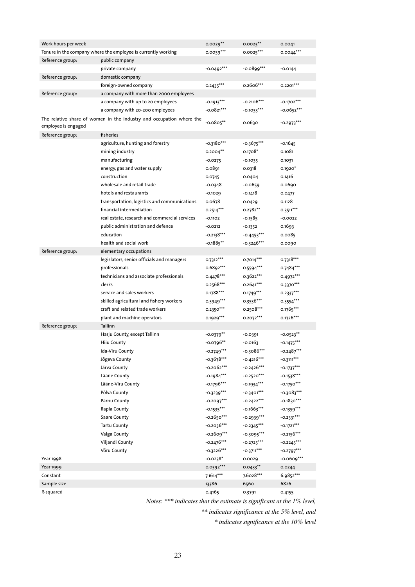| Work hours per week                                                                         |                                                               | $0.0029**$   | $0.0023***$  | 0.0041       |
|---------------------------------------------------------------------------------------------|---------------------------------------------------------------|--------------|--------------|--------------|
|                                                                                             | Tenure in the company where the employee is currently working | $0.0039***$  | $0.0025***$  | $0.0044***$  |
| Reference group:                                                                            | public company                                                |              |              |              |
|                                                                                             | private company                                               | $-0.0492***$ | $-0.0899***$ | $-0.0144$    |
| Reference group:                                                                            | domestic company                                              |              |              |              |
|                                                                                             | foreign-owned company                                         | $0.2435***$  | 0.2606***    | $0.2201***$  |
| Reference group:                                                                            | a company with more than 2000 employees                       |              |              |              |
|                                                                                             | a company with up to 20 employees                             | $-0.1913***$ | $-0.2106***$ | $-0.1702***$ |
|                                                                                             | a company with 20-200 employees                               | $-0.0821***$ | $-0.1033***$ | $-0.0652***$ |
| The relative share of women in the industry and occupation where the<br>employee is engaged |                                                               | $-0.0805***$ | 0.0630       | $-0.2973***$ |
| Reference group:                                                                            | fisheries                                                     |              |              |              |
|                                                                                             | agriculture, hunting and forestry                             | $-0.3180***$ | $-0.3675***$ | $-0.1645$    |
|                                                                                             | mining industry                                               | $0.2004**$   | $0.1708*$    | 0.1081       |
|                                                                                             | manufacturing                                                 | $-0.0275$    | $-0.1035$    | 0.1031       |
|                                                                                             | energy, gas and water supply                                  | 0.0891       | 0.0318       | $0.1920*$    |
|                                                                                             | construction                                                  | 0.0745       | 0.0404       | 0.1416       |
|                                                                                             | wholesale and retail trade                                    | $-0.0348$    | $-0.0659$    | 0.0690       |
|                                                                                             | hotels and restaurants                                        | $-0.1029$    | $-0.1418$    | 0.0477       |
|                                                                                             | transportation, logistics and communications                  | 0.0678       | 0.0429       | 0.1128       |
|                                                                                             | financial intermediation                                      | $0.2514***$  | $0.2782**$   | 0.3511***    |
|                                                                                             | real estate, research and commercial services                 | $-0.1102$    | $-0.1585$    | $-0.0022$    |
|                                                                                             | public administration and defence                             | $-0.0212$    | $-0.1352$    | 0.1693       |
|                                                                                             | education                                                     | $-0.2138***$ | $-0.4453***$ | 0.0085       |
|                                                                                             | health and social work                                        | $-0.1885**$  | -0.3246***   | 0.0090       |
| Reference group:                                                                            | elementary occupations                                        |              |              |              |
|                                                                                             | legislators, senior officials and managers                    | $0.7312***$  | $0.7014***$  | $0.7318***$  |
|                                                                                             | professionals                                                 | 0.6892***    | $0.5594***$  | $0.7484***$  |
|                                                                                             | technicians and associate professionals                       | $0.4478***$  | 0.3622***    | 0.4972***    |
|                                                                                             | clerks                                                        |              |              |              |
|                                                                                             |                                                               | $0.2568***$  | $0.2641***$  | 0.3370***    |
|                                                                                             | service and sales workers                                     | 0.1788***    | $0.1749***$  | $0.2337***$  |
|                                                                                             | skilled agricultural and fishery workers                      | $0.3949***$  | $0.3536***$  | $0.3554***$  |
|                                                                                             | craft and related trade workers                               | $0.2350***$  | $0.2508***$  | 0.1765***    |
|                                                                                             | plant and machine operators                                   | 0.1929 ***   | $0.2072***$  | 0.1726***    |
| Reference group:                                                                            | Tallinn                                                       |              |              |              |
|                                                                                             | Harju County, except Tallinn                                  | -0.0379**    | $-0.0391$    | $-0.0523**$  |
|                                                                                             | <b>Hiiu County</b>                                            | $-0.0796**$  | $-0.0163$    | $-0.1475***$ |
|                                                                                             | Ida-Viru County                                               | $-0.2749***$ | $-0.3086***$ | $-0.2487***$ |
|                                                                                             | Jõgeva County                                                 | $-0.3678***$ | $-0.4216***$ | $-0.3111***$ |
|                                                                                             | Järva County                                                  | $-0.2062***$ | $-0.2426***$ | $-0.1737***$ |
|                                                                                             | Lääne County                                                  | $-0.1984***$ | $-0.2520***$ | $-0.1538***$ |
|                                                                                             | Lääne-Viru County                                             | $-0.1796***$ | $-0.1934***$ | $-0.1750***$ |
|                                                                                             | Põlva County                                                  | $-0.3239***$ | $-0.3401***$ | $-0.3083***$ |
|                                                                                             | Pärnu County                                                  | $-0.2097***$ | $-0.2422***$ | $-0.1830***$ |
|                                                                                             | Rapla County                                                  | $-0.1535***$ | $-0.1663***$ | $-0.1359***$ |
|                                                                                             | Saare County                                                  | $-0.2650***$ | $-0.2939***$ | $-0.2331***$ |
|                                                                                             | <b>Tartu County</b>                                           | $-0.2036***$ | $-0.2345***$ | $-0.1721***$ |
|                                                                                             | Valga County                                                  | $-0.2609***$ | $-0.3095***$ | $-0.2156***$ |
|                                                                                             | Viljandi County                                               | $-0.2476***$ | $-0.2725***$ | $-0.2245***$ |
|                                                                                             | Võru County                                                   | $-0.3226***$ | $-0.3711***$ | $-0.2797***$ |
| Year 1998                                                                                   |                                                               | $-0.0238*$   | 0.0029       | $-0.0609***$ |
| Year 1999                                                                                   |                                                               | 0.0392 ***   | $0.0433***$  | 0.0244       |
| Constant                                                                                    |                                                               | $7.1614***$  | 7.6028***    | 6.9852***    |
| Sample size                                                                                 |                                                               | 13386        | 6560         | 6826         |
| R-squared                                                                                   |                                                               | 0.4165       | 0.3791       | 0.4155       |

*Notes: \*\*\* indicates that the estimate is significant at the 1% level,*

*\*\* indicates significance at the 5% level, and*

*\* indicates significance at the 10% level*